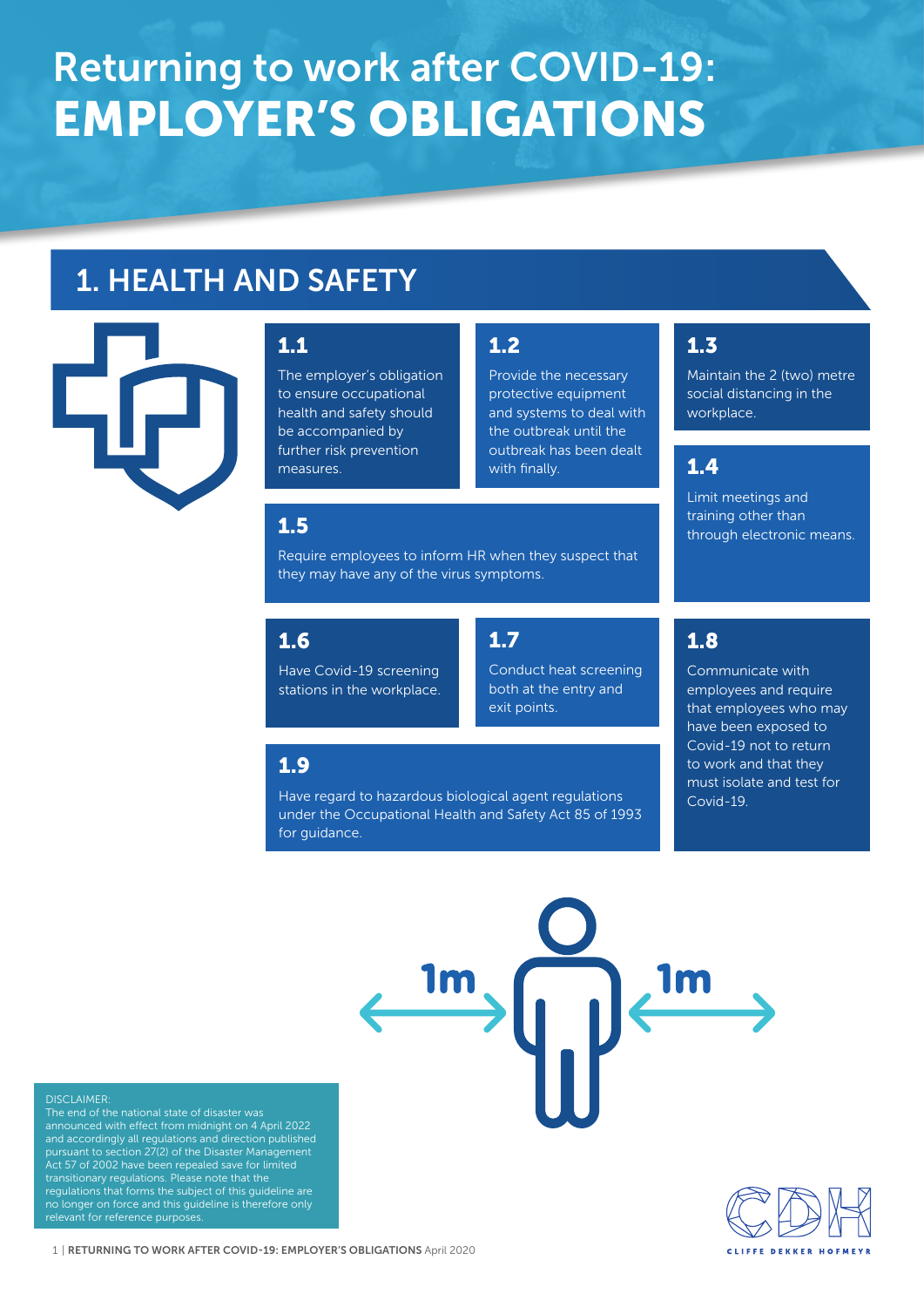# Returning to work after COVID-19: EMPLOYER'S OBLIGATIONS

## 1. HEALTH AND SAFETY



#### 1.1

The employer's obligation to ensure occupational health and safety should be accompanied by further risk prevention measures.

#### 1.2

Provide the necessary protective equipment and systems to deal with the outbreak until the outbreak has been dealt with finally.

#### 1.3

Maintain the 2 (two) metre social distancing in the workplace.

#### 1.4

Limit meetings and training other than 1.5 **1.5 1.6 1.6 1.6 1.6 1.6 1.6 1.6 1.6 1.6 1.6 1.6 1.6 1.6 1.6 1.6 1.6 1.6 1.6 1.6 1.6 1.6 1.6 1.6 1.6 1.6 1.6 1.6 1.6 1.6 1.6 1.6 1.6 1.6 1.6 1.6 1** 

Require employees to inform HR when they suspect that they may have any of the virus symptoms.

#### 1.6

Have Covid-19 screening stations in the workplace.

#### 1.7

Conduct heat screening both at the entry and exit points.

#### 1.9

Have regard to hazardous biological agent regulations

## 1.8

Communicate with employees and require that employees who may have been exposed to Covid-19 not to return to work and that they must isolate and test for Covid-19.

under the Occupational Health and Safety Act 85 of 1993 for guidance.

#### DISCLAIMER:

The end of the national state of disaster was announced with effect from midnight on 4 April 2022 and accordingly all regulations and direction published pursuant to section 27(2) of the Disaster Management Act 57 of 2002 have been repealed save for limited transitionary regulations. Please note that the regulations that forms the subject of this guideline are no longer on force and this guideline is therefore only relevant for reference purposes.



1 | RETURNING TO WORK AFTER COVID-19: EMPLOYER'S OBLIGATIONS April 2020